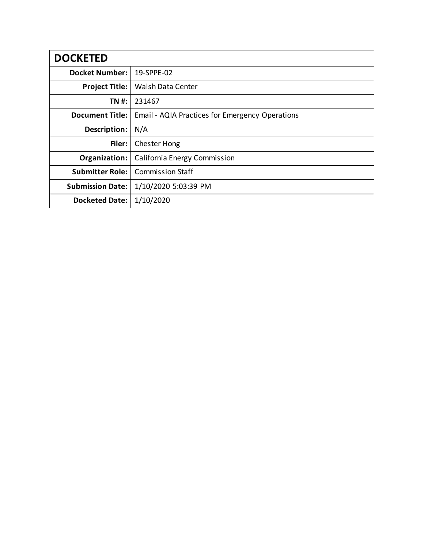| <b>DOCKETED</b>         |                                                 |
|-------------------------|-------------------------------------------------|
| <b>Docket Number:</b>   | 19-SPPE-02                                      |
| <b>Project Title:</b>   | Walsh Data Center                               |
| TN #:                   | 231467                                          |
| <b>Document Title:</b>  | Email - AQIA Practices for Emergency Operations |
| Description:            | N/A                                             |
| Filer:                  | <b>Chester Hong</b>                             |
| Organization:           | California Energy Commission                    |
| <b>Submitter Role:</b>  | <b>Commission Staff</b>                         |
| <b>Submission Date:</b> | 1/10/2020 5:03:39 PM                            |
| <b>Docketed Date:</b>   | 1/10/2020                                       |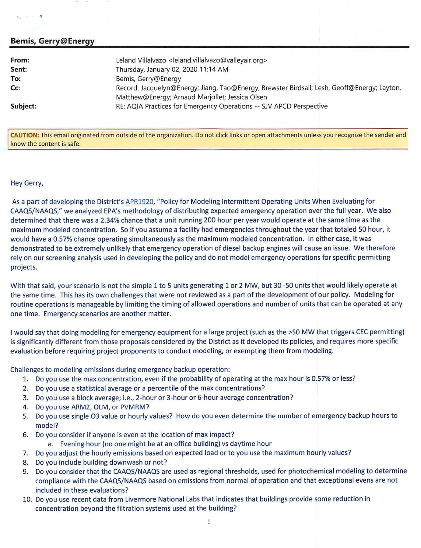## **Bemis, Gerry@Energy**

..

| From:    | Leland Villalvazo <leland.villalvazo@valleyair.org></leland.villalvazo@valleyair.org>       |
|----------|---------------------------------------------------------------------------------------------|
| Sent:    | Thursday, January 02, 2020 11:14 AM                                                         |
| To:      | Bemis, Gerry@Energy                                                                         |
| Cc:      | Record, Jacquelyn@Energy; Jiang, Tao@Energy; Brewster Birdsall; Lesh, Geoff@Energy; Layton, |
|          | Matthew@Energy; Arnaud Marjollet; Jessica Olsen                                             |
| Subject: | RE: AQIA Practices for Emergency Operations -- SJV APCD Perspective                         |

**CAUTION:** This email originated from outside of the organization. Do not click links or open attachments unless you recognize the sender and know the content is safe.

## Hey Gerry,

As a part of developing the District's APR1920, "Policy for Modeling Intermittent Operating Units When Evaluating for CAAQS/NAAQS," we analyzed EPA's methodology of distributing expected emergency operation over the full year. We also determined that there was a 2.34% chance that a unit running 200 hour per year would operate at the same time as the maximum modeled concentration. So if you assume a facility had emergencies throughout the year that totaled 50 hour, it would have a 0.57% chance operating simultaneously as the maximum modeled concentration. In either case, it was demonstrated to be extremely unlikely that emergency operation of diesel backup engines will cause an issue. We therefore rely on our screening analysis used in developing the policy and do not model emergency operations for specific permitting projects.

With that said, your scenario is not the simple 1 to 5 units generating 1 or 2 MW, but 30 -50 units that would likely operate at the same time. This has its own challenges that were not reviewed as a part of the development of our policy. Modeling for routine operations is manageable by limiting the timing of allowed operations and number of units that can be operated at any one time. Emergency scenarios are another matter.

I would say that doing modeling for emergency equipment for a large project (such as the >SO MW that triggers CEC permitting) is significantly different from those proposals considered by the District as it developed its policies, and requires more specific evaluation before requiring project proponents to conduct modeling, or exempting them from modeling.

Challenges to modeling emissions during emergency backup operation:

- 1. Do you use the max concentration, even if the probability of operating at the max hour is 0.57% or less?
- 2. Do you use a statistical average or a percentile of the max concentrations?
- 3. Do you use a block average; i.e., 2-hour or 3-hour or 6-hour average concentration?
- 4. Do you use ARM2, OLM, or PVMRM?
- 5. Do you use single 03 value or hourly values? How do you even determine the number of emergency backup hours to model?
- 6. Do you consider if anyone is even at the location of max impact?
	- a. Evening hour (no one might be at an office building) vs daytime hour
- 7. Do you adjust the hourly emissions based on expected load or to you use the maximum hourly values?
- 8. Do you include building downwash or not?
- 9. Do you consider that the CAAQS/NAAQS are used as regional thresholds, used for photochemical modeling to determine compliance with the CAAQS/NAAQS based on emissions from normal of operation and that exceptional evens are not included in these evaluations?
- 10. Do you use recent data from Livermore National Labs that indicates that buildings provide some reduction in concentration beyond the filtration systems used at the building?